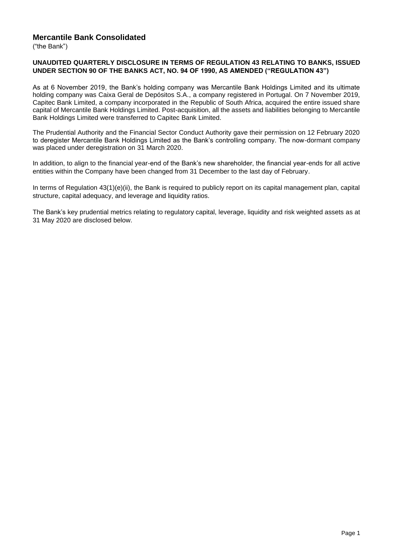## **Mercantile Bank Consolidated**

("the Bank")

#### **UNAUDITED QUARTERLY DISCLOSURE IN TERMS OF REGULATION 43 RELATING TO BANKS, ISSUED UNDER SECTION 90 OF THE BANKS ACT, NO. 94 OF 1990, AS AMENDED ("REGULATION 43")**

As at 6 November 2019, the Bank's holding company was Mercantile Bank Holdings Limited and its ultimate holding company was Caixa Geral de Depósitos S.A., a company registered in Portugal. On 7 November 2019, Capitec Bank Limited, a company incorporated in the Republic of South Africa, acquired the entire issued share capital of Mercantile Bank Holdings Limited. Post-acquisition, all the assets and liabilities belonging to Mercantile Bank Holdings Limited were transferred to Capitec Bank Limited.

The Prudential Authority and the Financial Sector Conduct Authority gave their permission on 12 February 2020 to deregister Mercantile Bank Holdings Limited as the Bank's controlling company. The now-dormant company was placed under deregistration on 31 March 2020.

In addition, to align to the financial year-end of the Bank's new shareholder, the financial year-ends for all active entities within the Company have been changed from 31 December to the last day of February.

In terms of Regulation 43(1)(e)(ii), the Bank is required to publicly report on its capital management plan, capital structure, capital adequacy, and leverage and liquidity ratios.

The Bank's key prudential metrics relating to regulatory capital, leverage, liquidity and risk weighted assets as at 31 May 2020 are disclosed below.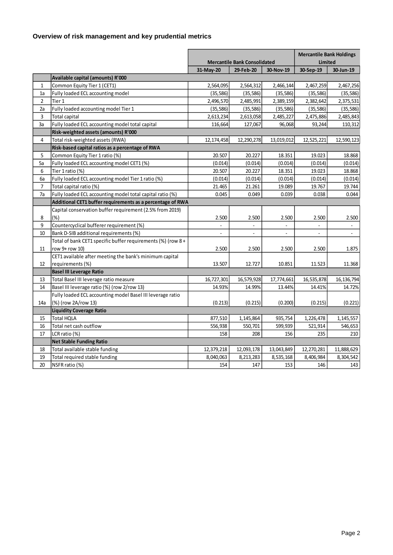# **Overview of risk management and key prudential metrics**

|                |                                                             | <b>Mercantile Bank Consolidated</b> |              | <b>Mercantile Bank Holdings</b><br>Limited |            |                |
|----------------|-------------------------------------------------------------|-------------------------------------|--------------|--------------------------------------------|------------|----------------|
|                |                                                             | 31-May-20                           | 29-Feb-20    | 30-Nov-19                                  | 30-Sep-19  | 30-Jun-19      |
|                | Available capital (amounts) R'000                           |                                     |              |                                            |            |                |
| $\mathbf{1}$   | Common Equity Tier 1 (CET1)                                 | 2,564,095                           | 2,564,312    | 2,466,144                                  | 2,467,259  | 2,467,256      |
| 1a             | Fully loaded ECL accounting model                           | (35, 586)                           | (35, 586)    | (35, 586)                                  | (35, 586)  | (35, 586)      |
| $\overline{2}$ | Tier 1                                                      | 2,496,570                           | 2,485,991    | 2,389,159                                  | 2,382,642  | 2,375,531      |
| 2a             | Fully loaded accounting model Tier 1                        | (35, 586)                           | (35, 586)    | (35, 586)                                  | (35, 586)  | (35, 586)      |
| 3              | Total capital                                               | 2,613,234                           | 2,613,058    | 2,485,227                                  | 2,475,886  | 2,485,843      |
| 3a             | Fully loaded ECL accounting model total capital             | 116,664                             | 127,067      | 96,068                                     | 93,244     | 110,312        |
|                | Risk-weighted assets (amounts) R'000                        |                                     |              |                                            |            |                |
| 4              | Total risk-weighted assets (RWA)                            | 12,174,458                          | 12,290,278   | 13,019,012                                 | 12,525,221 | 12,590,123     |
|                | Risk-based capital ratios as a percentage of RWA            |                                     |              |                                            |            |                |
| 5              | Common Equity Tier 1 ratio (%)                              | 20.507                              | 20.227       | 18.351                                     | 19.023     | 18.868         |
| 5a             | Fully loaded ECL accounting model CET1 (%)                  | (0.014)                             | (0.014)      | (0.014)                                    | (0.014)    | (0.014)        |
| 6              | Tier 1 ratio (%)                                            | 20.507                              | 20.227       | 18.351                                     | 19.023     | 18.868         |
| 6a             | Fully loaded ECL accounting model Tier 1 ratio (%)          | (0.014)                             | (0.014)      | (0.014)                                    | (0.014)    | (0.014)        |
| 7              | Total capital ratio (%)                                     | 21.465                              | 21.261       | 19.089                                     | 19.767     | 19.744         |
| 7a             | Fully loaded ECL accounting model total capital ratio (%)   | 0.045                               | 0.049        | 0.039                                      | 0.038      | 0.044          |
|                | Additional CET1 buffer requirements as a percentage of RWA  |                                     |              |                                            |            |                |
|                | Capital conservation buffer requirement (2.5% from 2019)    |                                     |              |                                            |            |                |
| 8              | $(\%)$                                                      | 2.500                               | 2.500        | 2.500                                      | 2.500      | 2.500          |
| 9              | Countercyclical bufferer requirement (%)                    |                                     |              |                                            |            |                |
| 10             | Bank D-SIB additional requirements (%)                      | $\mathbf{r}$                        | $\mathbf{r}$ | $\mathbf{r}$                               |            | $\blacksquare$ |
|                | Total of bank CET1 specific buffer requirements (%) (row 8+ |                                     |              |                                            |            |                |
| 11             | row 9+ row 10)                                              | 2.500                               | 2.500        | 2.500                                      | 2.500      | 1.875          |
|                | CET1 available after meeting the bank's minimum capital     |                                     |              |                                            |            |                |
| 12             | requirements (%)                                            | 13.507                              | 12.727       | 10.851                                     | 11.523     | 11.368         |
|                | <b>Basel III Leverage Ratio</b>                             |                                     |              |                                            |            |                |
| 13             | Total Basel III leverage ratio measure                      | 16,727,301                          | 16,579,928   | 17,774,661                                 | 16,535,878 | 16,136,794     |
| 14             | Basel III leverage ratio (%) (row 2/row 13)                 | 14.93%                              | 14.99%       | 13.44%                                     | 14.41%     | 14.72%         |
|                | Fully loaded ECL accounting model Basel III leverage ratio  |                                     |              |                                            |            |                |
| 14a            | (%) (row 2A/row 13)                                         | (0.213)                             | (0.215)      | (0.200)                                    | (0.215)    | (0.221)        |
|                | <b>Liquidity Coverage Ratio</b>                             |                                     |              |                                            |            |                |
| 15             | <b>Total HQLA</b>                                           | 877,510                             | 1,145,864    | 935,754                                    | 1,226,478  | 1,145,557      |
| 16             | Total net cash outflow                                      | 556,938                             | 550,701      | 599,939                                    | 521,914    | 546,653        |
| 17             | LCR ratio (%)                                               | 158                                 | 208          | 156                                        | 235        | 210            |
|                | <b>Net Stable Funding Ratio</b>                             |                                     |              |                                            |            |                |
| 18             | Total available stable funding                              | 12,379,218                          | 12,093,178   | 13,043,849                                 | 12,270,281 | 11,888,629     |
| 19             | Total required stable funding                               | 8,040,063                           | 8,213,283    | 8,535,168                                  | 8,406,984  | 8,304,542      |
| 20             | NSFR ratio (%)                                              | 154                                 | 147          | 153                                        | 146        | 143            |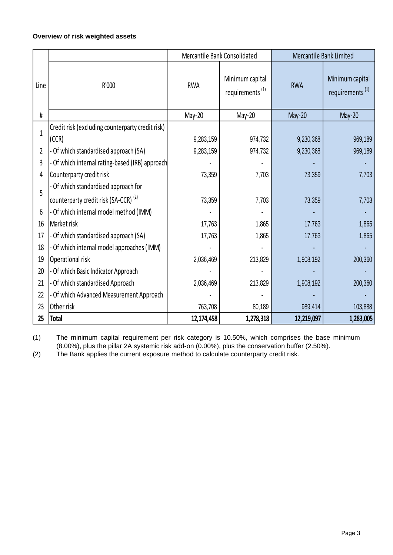## **Overview of risk weighted assets**

|              |                                                  | Mercantile Bank Consolidated |                                                | Mercantile Bank Limited |                                                |
|--------------|--------------------------------------------------|------------------------------|------------------------------------------------|-------------------------|------------------------------------------------|
| Line         | R'000                                            | <b>RWA</b>                   | Minimum capital<br>requirements <sup>(1)</sup> | <b>RWA</b>              | Minimum capital<br>requirements <sup>(1)</sup> |
| #            |                                                  | May-20                       | May-20                                         | May-20                  | $May-20$                                       |
| $\mathbf{1}$ | Credit risk (excluding counterparty credit risk) |                              |                                                |                         |                                                |
|              | (CCR)                                            | 9,283,159                    | 974,732                                        | 9,230,368               | 969,189                                        |
| 2            | - Of which standardised approach (SA)            | 9,283,159                    | 974,732                                        | 9,230,368               | 969,189                                        |
| 3            | - Of which internal rating-based (IRB) approach  |                              |                                                |                         |                                                |
| 4            | Counterparty credit risk                         | 73,359                       | 7,703                                          | 73,359                  | 7,703                                          |
| 5            | - Of which standardised approach for             |                              |                                                |                         |                                                |
|              | counterparty credit risk (SA-CCR) <sup>(2)</sup> | 73,359                       | 7,703                                          | 73,359                  | 7,703                                          |
| 6            | - Of which internal model method (IMM)           |                              |                                                |                         |                                                |
| 16           | Market risk                                      | 17,763                       | 1,865                                          | 17,763                  | 1,865                                          |
| 17           | - Of which standardised approach (SA)            | 17,763                       | 1,865                                          | 17,763                  | 1,865                                          |
| 18           | - Of which internal model approaches (IMM)       |                              |                                                |                         |                                                |
| 19           | Operational risk                                 | 2,036,469                    | 213,829                                        | 1,908,192               | 200,360                                        |
| 20           | - Of which Basic Indicator Approach              |                              |                                                |                         |                                                |
| 21           | - Of which standardised Approach                 | 2,036,469                    | 213,829                                        | 1,908,192               | 200,360                                        |
| 22           | - Of which Advanced Measurement Approach         |                              |                                                |                         |                                                |
| 23           | Other risk                                       | 763,708                      | 80,189                                         | 989,414                 | 103,888                                        |
| 25           | Total                                            | 12,174,458                   | 1,278,318                                      | 12,219,097              | 1,283,005                                      |

(1) The minimum capital requirement per risk category is 10.50%, which comprises the base minimum (8.00%), plus the pillar 2A systemic risk add-on (0.00%), plus the conservation buffer (2.50%).

(2) The Bank applies the current exposure method to calculate counterparty credit risk.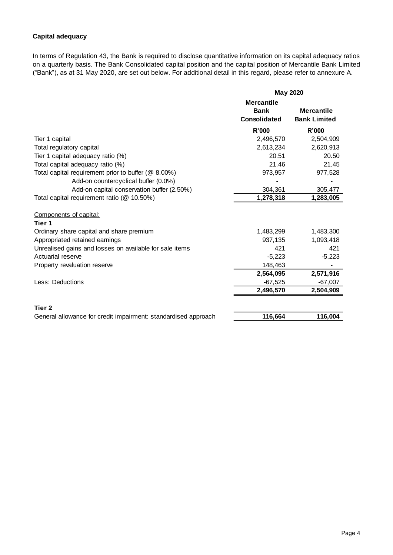## **Capital adequacy**

In terms of Regulation 43, the Bank is required to disclose quantitative information on its capital adequacy ratios on a quarterly basis. The Bank Consolidated capital position and the capital position of Mercantile Bank Limited ("Bank"), as at 31 May 2020, are set out below. For additional detail in this regard, please refer to annexure A.

|                                                                              | <b>May 2020</b>                                  |                                          |
|------------------------------------------------------------------------------|--------------------------------------------------|------------------------------------------|
|                                                                              | <b>Mercantile</b><br><b>Bank</b><br>Consolidated | <b>Mercantile</b><br><b>Bank Limited</b> |
|                                                                              | <b>R'000</b>                                     | R'000                                    |
| Tier 1 capital                                                               | 2,496,570                                        | 2,504,909                                |
| Total regulatory capital                                                     | 2,613,234                                        | 2,620,913                                |
| Tier 1 capital adequacy ratio (%)                                            | 20.51                                            | 20.50                                    |
| Total capital adequacy ratio (%)                                             | 21.46                                            | 21.45                                    |
| Total capital requirement prior to buffer (@ 8.00%)                          | 973,957                                          | 977,528                                  |
| Add-on countercyclical buffer (0.0%)                                         |                                                  |                                          |
| Add-on capital conservation buffer (2.50%)                                   | 304,361                                          | 305,477                                  |
| Total capital requirement ratio (@ 10.50%)                                   | 1,278,318                                        | 1,283,005                                |
| Components of capital:                                                       |                                                  |                                          |
| Tier 1                                                                       |                                                  |                                          |
| Ordinary share capital and share premium                                     | 1,483,299                                        | 1,483,300                                |
| Appropriated retained earnings                                               | 937,135<br>421                                   | 1,093,418                                |
| Unrealised gains and losses on available for sale items<br>Actuarial reserve |                                                  | 421                                      |
|                                                                              | $-5,223$                                         | $-5,223$                                 |
| Property revaluation reserve                                                 | 148,463<br>2,564,095                             |                                          |
| Less: Deductions                                                             |                                                  | 2,571,916                                |
|                                                                              | $-67,525$                                        | $-67,007$                                |
|                                                                              | 2,496,570                                        | 2,504,909                                |
| Tier <sub>2</sub>                                                            |                                                  |                                          |
| General allowance for credit impairment: standardised approach               | 116,664                                          | 116,004                                  |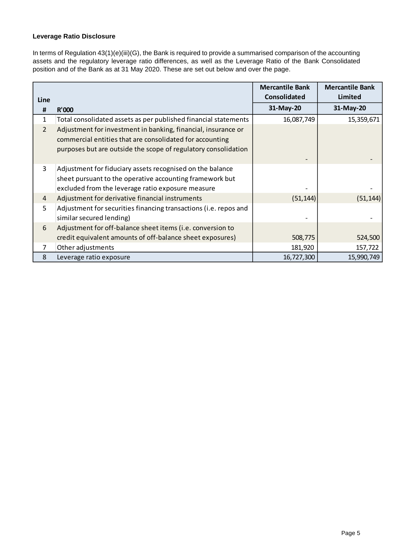## **Leverage Ratio Disclosure**

In terms of Regulation 43(1)(e)(iii)(G), the Bank is required to provide a summarised comparison of the accounting assets and the regulatory leverage ratio differences, as well as the Leverage Ratio of the Bank Consolidated position and of the Bank as at 31 May 2020. These are set out below and over the page.

|                |                                                                                                                                                                                             | <b>Mercantile Bank</b><br><b>Consolidated</b> | <b>Mercantile Bank</b><br>Limited |
|----------------|---------------------------------------------------------------------------------------------------------------------------------------------------------------------------------------------|-----------------------------------------------|-----------------------------------|
| Line           |                                                                                                                                                                                             |                                               |                                   |
| #              | R'000                                                                                                                                                                                       | 31-May-20                                     | 31-May-20                         |
| 1              | Total consolidated assets as per published financial statements                                                                                                                             | 16,087,749                                    | 15,359,671                        |
| $\overline{2}$ | Adjustment for investment in banking, financial, insurance or<br>commercial entities that are consolidated for accounting<br>purposes but are outside the scope of regulatory consolidation |                                               |                                   |
| 3              | Adjustment for fiduciary assets recognised on the balance<br>sheet pursuant to the operative accounting framework but<br>excluded from the leverage ratio exposure measure                  |                                               |                                   |
| $\overline{4}$ | Adjustment for derivative financial instruments                                                                                                                                             | (51, 144)                                     | (51, 144)                         |
| 5              | Adjustment for securities financing transactions (i.e. repos and<br>similar secured lending)                                                                                                |                                               |                                   |
| 6              | Adjustment for off-balance sheet items (i.e. conversion to                                                                                                                                  |                                               |                                   |
|                | credit equivalent amounts of off-balance sheet exposures)                                                                                                                                   | 508,775                                       | 524,500                           |
| 7              | Other adjustments                                                                                                                                                                           | 181,920                                       | 157,722                           |
| 8              | Leverage ratio exposure                                                                                                                                                                     | 16,727,300                                    | 15,990,749                        |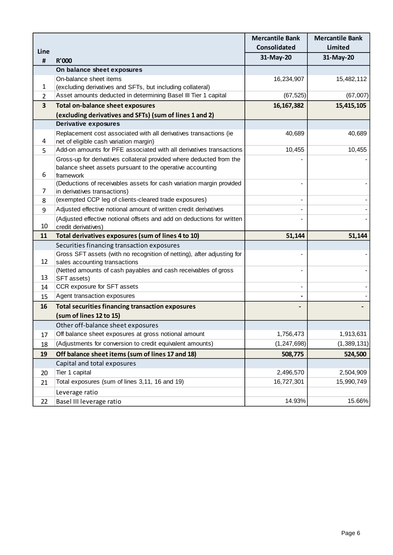|                         |                                                                                                      | <b>Mercantile Bank</b> | <b>Mercantile Bank</b> |
|-------------------------|------------------------------------------------------------------------------------------------------|------------------------|------------------------|
| Line                    |                                                                                                      | Consolidated           | <b>Limited</b>         |
| #                       | <b>R'000</b>                                                                                         | 31-May-20              | 31-May-20              |
|                         | On balance sheet exposures                                                                           |                        |                        |
|                         | On-balance sheet items                                                                               | 16,234,907             | 15,482,112             |
| 1                       | (excluding derivatives and SFTs, but including collateral)                                           |                        |                        |
| 2                       | Asset amounts deducted in determining Basel III Tier 1 capital                                       | (67, 525)              | (67,007)               |
| $\overline{\mathbf{3}}$ | <b>Total on-balance sheet exposures</b>                                                              | 16, 167, 382           | 15,415,105             |
|                         | (excluding derivatives and SFTs) (sum of lines 1 and 2)                                              |                        |                        |
|                         | <b>Derivative exposures</b>                                                                          |                        |                        |
|                         | Replacement cost associated with all derivatives transactions (ie                                    | 40,689                 | 40,689                 |
| 4                       | net of eligible cash variation margin)                                                               |                        |                        |
| 5                       | Add-on amounts for PFE associated with all derivatives transactions                                  | 10,455                 | 10,455                 |
|                         | Gross-up for derivatives collateral provided where deducted from the                                 |                        |                        |
|                         | balance sheet assets pursuant to the operative accounting                                            |                        |                        |
| 6                       | framework                                                                                            |                        |                        |
| 7                       | (Deductions of receivables assets for cash variation margin provided<br>in derivatives transactions) |                        |                        |
| 8                       | (exempted CCP leg of clients-cleared trade exposures)                                                |                        |                        |
| 9                       | Adjusted effective notional amount of written credit derivatives                                     |                        |                        |
|                         | (Adjusted effective notional offsets and add on deductions for written                               |                        |                        |
| 10                      | credit derivatives)                                                                                  |                        |                        |
| 11                      | Total derivatives exposures (sum of lines 4 to 10)                                                   | 51,144                 | 51,144                 |
|                         | Securities financing transaction exposures                                                           |                        |                        |
|                         | Gross SFT assets (with no recognition of netting), after adjusting for                               |                        |                        |
| 12                      | sales accounting transactions                                                                        |                        |                        |
|                         | (Netted amounts of cash payables and cash receivables of gross                                       |                        |                        |
| 13                      | SFT assets)                                                                                          |                        |                        |
| 14                      | CCR exposure for SFT assets                                                                          |                        |                        |
| 15                      | Agent transaction exposures                                                                          |                        |                        |
| 16                      | <b>Total securities financing transaction exposures</b>                                              |                        |                        |
|                         | (sum of lines 12 to 15)                                                                              |                        |                        |
|                         | Other off-balance sheet exposures                                                                    |                        |                        |
| 17                      | Off balance sheet exposures at gross notional amount                                                 | 1,756,473              | 1,913,631              |
| 18                      | (Adjustments for conversion to credit equivalent amounts)                                            | (1, 247, 698)          | (1,389,131)            |
| 19                      | Off balance sheet items (sum of lines 17 and 18)                                                     | 508,775                | 524,500                |
|                         | Capital and total exposures                                                                          |                        |                        |
| 20                      | Tier 1 capital                                                                                       | 2,496,570              | 2,504,909              |
| 21                      | Total exposures (sum of lines 3,11, 16 and 19)                                                       | 16,727,301             | 15,990,749             |
|                         | Leverage ratio                                                                                       |                        |                        |
| 22                      | Basel III leverage ratio                                                                             | 14.93%                 | 15.66%                 |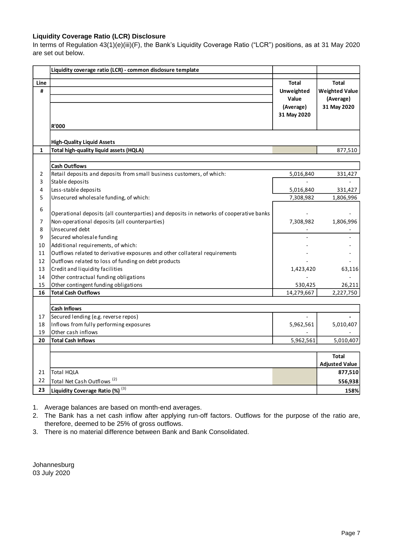#### **Liquidity Coverage Ratio (LCR) Disclosure**

In terms of Regulation 43(1)(e)(iii)(F), the Bank's Liquidity Coverage Ratio ("LCR") positions, as at 31 May 2020 are set out below.

| Liquidity coverage ratio (LCR) - common disclosure template<br>Line<br><b>Total</b><br><b>Total</b><br>#<br>Unweighted<br><b>Weighted Value</b><br>(Average)<br>Value<br>31 May 2020<br>(Average)<br>31 May 2020<br><b>R'000</b><br><b>High-Quality Liquid Assets</b><br>Total high-quality liquid assets (HQLA)<br>$\mathbf{1}$<br>877,510<br><b>Cash Outflows</b><br>Retail deposits and deposits from small business customers, of which:<br>2<br>5,016,840<br>331,427<br>3<br>Stable deposits<br>Less-stable deposits<br>4<br>5,016,840<br>331,427<br>5<br>Unsecured wholesale funding, of which:<br>7,308,982<br>1,806,996<br>6<br>Operational deposits (all counterparties) and deposits in networks of cooperative banks |
|---------------------------------------------------------------------------------------------------------------------------------------------------------------------------------------------------------------------------------------------------------------------------------------------------------------------------------------------------------------------------------------------------------------------------------------------------------------------------------------------------------------------------------------------------------------------------------------------------------------------------------------------------------------------------------------------------------------------------------|
|                                                                                                                                                                                                                                                                                                                                                                                                                                                                                                                                                                                                                                                                                                                                 |
|                                                                                                                                                                                                                                                                                                                                                                                                                                                                                                                                                                                                                                                                                                                                 |
|                                                                                                                                                                                                                                                                                                                                                                                                                                                                                                                                                                                                                                                                                                                                 |
|                                                                                                                                                                                                                                                                                                                                                                                                                                                                                                                                                                                                                                                                                                                                 |
|                                                                                                                                                                                                                                                                                                                                                                                                                                                                                                                                                                                                                                                                                                                                 |
|                                                                                                                                                                                                                                                                                                                                                                                                                                                                                                                                                                                                                                                                                                                                 |
|                                                                                                                                                                                                                                                                                                                                                                                                                                                                                                                                                                                                                                                                                                                                 |
|                                                                                                                                                                                                                                                                                                                                                                                                                                                                                                                                                                                                                                                                                                                                 |
|                                                                                                                                                                                                                                                                                                                                                                                                                                                                                                                                                                                                                                                                                                                                 |
|                                                                                                                                                                                                                                                                                                                                                                                                                                                                                                                                                                                                                                                                                                                                 |
|                                                                                                                                                                                                                                                                                                                                                                                                                                                                                                                                                                                                                                                                                                                                 |
|                                                                                                                                                                                                                                                                                                                                                                                                                                                                                                                                                                                                                                                                                                                                 |
| $\overline{7}$<br>Non-operational deposits (all counterparties)<br>7,308,982<br>1,806,996                                                                                                                                                                                                                                                                                                                                                                                                                                                                                                                                                                                                                                       |
| 8<br>Unsecured debt                                                                                                                                                                                                                                                                                                                                                                                                                                                                                                                                                                                                                                                                                                             |
| 9<br>Secured wholesale funding                                                                                                                                                                                                                                                                                                                                                                                                                                                                                                                                                                                                                                                                                                  |
| Additional requirements, of which:<br>10                                                                                                                                                                                                                                                                                                                                                                                                                                                                                                                                                                                                                                                                                        |
| Outflows related to derivative exposures and other collateral requirements<br>11                                                                                                                                                                                                                                                                                                                                                                                                                                                                                                                                                                                                                                                |
| Outflows related to loss of funding on debt products<br>12                                                                                                                                                                                                                                                                                                                                                                                                                                                                                                                                                                                                                                                                      |
| 13<br>Credit and liquidity facilities<br>1,423,420<br>63,116                                                                                                                                                                                                                                                                                                                                                                                                                                                                                                                                                                                                                                                                    |
| Other contractual funding obligations<br>14                                                                                                                                                                                                                                                                                                                                                                                                                                                                                                                                                                                                                                                                                     |
| 15<br>Other contingent funding obligations<br>530,425<br>26,211                                                                                                                                                                                                                                                                                                                                                                                                                                                                                                                                                                                                                                                                 |
| <b>Total Cash Outflows</b><br>14,279,667<br>2,227,750<br>16                                                                                                                                                                                                                                                                                                                                                                                                                                                                                                                                                                                                                                                                     |
|                                                                                                                                                                                                                                                                                                                                                                                                                                                                                                                                                                                                                                                                                                                                 |
| <b>Cash Inflows</b>                                                                                                                                                                                                                                                                                                                                                                                                                                                                                                                                                                                                                                                                                                             |
| Secured lending (e.g. reverse repos)<br>17                                                                                                                                                                                                                                                                                                                                                                                                                                                                                                                                                                                                                                                                                      |
| Inflows from fully performing exposures<br>18<br>5,962,561<br>5,010,407<br>Other cash inflows                                                                                                                                                                                                                                                                                                                                                                                                                                                                                                                                                                                                                                   |
| 19<br><b>Total Cash Inflows</b><br>20<br>5,962,561<br>5,010,407                                                                                                                                                                                                                                                                                                                                                                                                                                                                                                                                                                                                                                                                 |
|                                                                                                                                                                                                                                                                                                                                                                                                                                                                                                                                                                                                                                                                                                                                 |
| <b>Total</b>                                                                                                                                                                                                                                                                                                                                                                                                                                                                                                                                                                                                                                                                                                                    |
| <b>Adjusted Value</b>                                                                                                                                                                                                                                                                                                                                                                                                                                                                                                                                                                                                                                                                                                           |
| <b>Total HOLA</b><br>877,510<br>21                                                                                                                                                                                                                                                                                                                                                                                                                                                                                                                                                                                                                                                                                              |
| 22<br>Total Net Cash Outflows <sup>(2)</sup><br>556,938                                                                                                                                                                                                                                                                                                                                                                                                                                                                                                                                                                                                                                                                         |
| Liquidity Coverage Ratio (%) (3)<br>23<br>158%                                                                                                                                                                                                                                                                                                                                                                                                                                                                                                                                                                                                                                                                                  |

1. Average balances are based on month-end averages.

2. The Bank has a net cash inflow after applying run-off factors. Outflows for the purpose of the ratio are, therefore, deemed to be 25% of gross outflows.

3. There is no material difference between Bank and Bank Consolidated.

Johannesburg 03 July 2020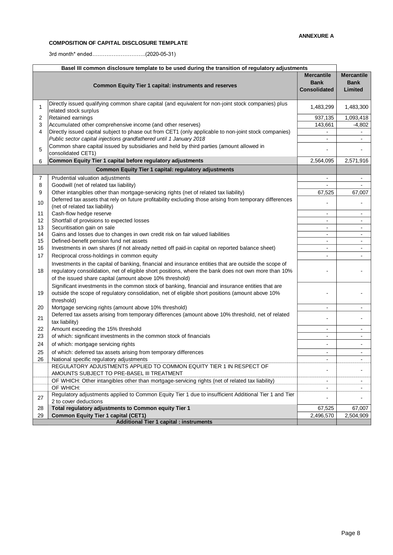#### **COMPOSITION OF CAPITAL DISCLOSURE TEMPLATE**

3rd month\* ended….……………………..(2020-05-31)

| Basel III common disclosure template to be used during the transition of regulatory adjustments |                                                                                                                                                                                                                                                                           |                                                  |                                             |  |
|-------------------------------------------------------------------------------------------------|---------------------------------------------------------------------------------------------------------------------------------------------------------------------------------------------------------------------------------------------------------------------------|--------------------------------------------------|---------------------------------------------|--|
|                                                                                                 | Common Equity Tier 1 capital: instruments and reserves                                                                                                                                                                                                                    | <b>Mercantile</b><br><b>Bank</b><br>Consolidated | <b>Mercantile</b><br><b>Bank</b><br>Limited |  |
| 1                                                                                               | Directly issued qualifying common share capital (and equivalent for non-joint stock companies) plus<br>related stock surplus                                                                                                                                              | 1,483,299                                        | 1,483,300                                   |  |
| 2                                                                                               | <b>Retained earnings</b>                                                                                                                                                                                                                                                  | 937,135                                          | 1,093,418                                   |  |
| 3                                                                                               | Accumulated other comprehensive income (and other reserves)                                                                                                                                                                                                               | 143,661                                          | $-4,802$                                    |  |
| 4                                                                                               | Directly issued capital subject to phase out from CET1 (only applicable to non-joint stock companies)                                                                                                                                                                     |                                                  |                                             |  |
|                                                                                                 | Public sector capital injections grandfathered until 1 January 2018                                                                                                                                                                                                       | $\overline{\phantom{0}}$                         | $\overline{\phantom{a}}$                    |  |
| 5                                                                                               | Common share capital issued by subsidiaries and held by third parties (amount allowed in<br>consolidated CET1)                                                                                                                                                            |                                                  |                                             |  |
| 6                                                                                               | Common Equity Tier 1 capital before regulatory adjustments                                                                                                                                                                                                                | 2,564,095                                        | 2,571,916                                   |  |
|                                                                                                 | Common Equity Tier 1 capital: regulatory adjustments                                                                                                                                                                                                                      |                                                  |                                             |  |
| $\overline{7}$                                                                                  | Prudential valuation adjustments                                                                                                                                                                                                                                          | $\overline{\phantom{a}}$                         | $\blacksquare$                              |  |
| 8                                                                                               | Goodwill (net of related tax liability)                                                                                                                                                                                                                                   |                                                  |                                             |  |
| 9                                                                                               | Other intangibles other than mortgage-servicing rights (net of related tax liability)                                                                                                                                                                                     | 67,525                                           | 67,007                                      |  |
| 10                                                                                              | Deferred tax assets that rely on future profitability excluding those arising from temporary differences                                                                                                                                                                  |                                                  |                                             |  |
| 11                                                                                              | (net of related tax liability)<br>Cash-flow hedge reserve                                                                                                                                                                                                                 |                                                  |                                             |  |
| 12                                                                                              | Shortfall of provisions to expected losses                                                                                                                                                                                                                                | $\overline{\phantom{0}}$                         | $\overline{\phantom{a}}$                    |  |
| 13                                                                                              | Securitisation gain on sale                                                                                                                                                                                                                                               | $\overline{\phantom{a}}$                         | $\overline{\phantom{a}}$                    |  |
| 14                                                                                              | Gains and losses due to changes in own credit risk on fair valued liabilities                                                                                                                                                                                             | $\blacksquare$                                   | $\blacksquare$                              |  |
| 15                                                                                              | Defined-benefit pension fund net assets                                                                                                                                                                                                                                   |                                                  |                                             |  |
| 16                                                                                              | Investments in own shares (if not already netted off paid-in capital on reported balance sheet)                                                                                                                                                                           | $\overline{\phantom{0}}$                         | $\blacksquare$                              |  |
| 17                                                                                              | Reciprocal cross-holdings in common equity                                                                                                                                                                                                                                | $\overline{\phantom{0}}$                         | $\blacksquare$                              |  |
| 18                                                                                              | Investments in the capital of banking, financial and insurance entities that are outside the scope of<br>regulatory consolidation, net of eligible short positions, where the bank does not own more than 10%<br>of the issued share capital (amount above 10% threshold) |                                                  |                                             |  |
| 19                                                                                              | Significant investments in the common stock of banking, financial and insurance entities that are<br>outside the scope of regulatory consolidation, net of eligible short positions (amount above 10%<br>threshold)                                                       |                                                  |                                             |  |
| 20                                                                                              | Mortgage servicing rights (amount above 10% threshold)                                                                                                                                                                                                                    | $\overline{\phantom{0}}$                         | $\blacksquare$                              |  |
| 21                                                                                              | Deferred tax assets arising from temporary differences (amount above 10% threshold, net of related<br>tax liability)                                                                                                                                                      |                                                  |                                             |  |
| 22                                                                                              | Amount exceeding the 15% threshold                                                                                                                                                                                                                                        | $\overline{\phantom{0}}$                         | $\overline{\phantom{a}}$                    |  |
| 23                                                                                              | of which: significant investments in the common stock of financials                                                                                                                                                                                                       | $\overline{a}$                                   | $\overline{\phantom{a}}$                    |  |
| 24                                                                                              | of which: mortgage servicing rights                                                                                                                                                                                                                                       |                                                  |                                             |  |
| 25                                                                                              | of which: deferred tax assets arising from temporary differences                                                                                                                                                                                                          | $\overline{\phantom{0}}$                         | $\overline{\phantom{a}}$                    |  |
| 26                                                                                              | National specific regulatory adjustments                                                                                                                                                                                                                                  |                                                  |                                             |  |
|                                                                                                 | REGULATORY ADJUSTMENTS APPLIED TO COMMON EQUITY TIER 1 IN RESPECT OF<br>AMOUNTS SUBJECT TO PRE-BASEL III TREATMENT                                                                                                                                                        |                                                  |                                             |  |
|                                                                                                 | OF WHICH: Other intangibles other than mortgage-servicing rights (net of related tax liability)                                                                                                                                                                           |                                                  | $\overline{\phantom{a}}$                    |  |
|                                                                                                 | OF WHICH:<br>Regulatory adjustments applied to Common Equity Tier 1 due to insufficient Additional Tier 1 and Tier                                                                                                                                                        |                                                  |                                             |  |
| 27                                                                                              | 2 to cover deductions                                                                                                                                                                                                                                                     |                                                  |                                             |  |
| 28                                                                                              | Total regulatory adjustments to Common equity Tier 1                                                                                                                                                                                                                      | 67,525                                           | 67,007                                      |  |
| 29                                                                                              | <b>Common Equity Tier 1 capital (CET1)</b>                                                                                                                                                                                                                                | 2,496,570                                        | 2,504,909                                   |  |
|                                                                                                 | <b>Additional Tier 1 capital : instruments</b>                                                                                                                                                                                                                            |                                                  |                                             |  |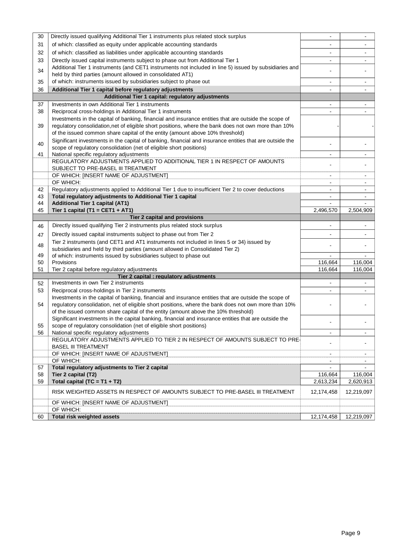| 30 | Directly issued qualifying Additional Tier 1 instruments plus related stock surplus                                                                                  |                |                          |
|----|----------------------------------------------------------------------------------------------------------------------------------------------------------------------|----------------|--------------------------|
| 31 | of which: classified as equity under applicable accounting standards                                                                                                 |                |                          |
| 32 | of which: classified as liabilities under applicable accounting standards                                                                                            | $\blacksquare$ |                          |
| 33 | Directly issued capital instruments subject to phase out from Additional Tier 1                                                                                      | $\blacksquare$ | $\overline{\phantom{a}}$ |
| 34 | Additional Tier 1 instruments (and CET1 instruments not included in line 5) issued by subsidiaries and<br>held by third parties (amount allowed in consolidated AT1) |                | $\overline{a}$           |
| 35 | of which: instruments issued by subsidiaries subject to phase out                                                                                                    |                |                          |
|    |                                                                                                                                                                      |                |                          |
| 36 | Additional Tier 1 capital before regulatory adjustments                                                                                                              |                |                          |
|    | Additional Tier 1 capital: regulatory adjustments                                                                                                                    |                |                          |
| 37 | Investments in own Additional Tier 1 instruments                                                                                                                     | $\blacksquare$ | $\sim$                   |
| 38 | Reciprocal cross-holdings in Additional Tier 1 instruments                                                                                                           |                |                          |
|    | Investments in the capital of banking, financial and insurance entities that are outside the scope of                                                                |                |                          |
| 39 | regulatory consolidation, net of eligible short positions, where the bank does not own more than 10%                                                                 |                |                          |
|    | of the issued common share capital of the entity (amount above 10% threshold)                                                                                        |                |                          |
| 40 | Significant investments in the capital of banking, financial and insurance entities that are outside the                                                             |                |                          |
|    | scope of regulatory consolidation (net of eligible short positions)                                                                                                  |                |                          |
| 41 | National specific regulatory adjustments                                                                                                                             | $\blacksquare$ | $\blacksquare$           |
|    | REGULATORY ADJUSTMENTS APPLIED TO ADDITIONAL TIER 1 IN RESPECT OF AMOUNTS                                                                                            |                |                          |
|    | SUBJECT TO PRE-BASEL III TREATMENT                                                                                                                                   |                |                          |
|    | OF WHICH: [INSERT NAME OF ADJUSTMENT]                                                                                                                                | $\blacksquare$ | $\sim$                   |
|    | OF WHICH:                                                                                                                                                            | $\blacksquare$ |                          |
| 42 | Regulatory adjustments applied to Additional Tier 1 due to insufficient Tier 2 to cover deductions                                                                   | $\blacksquare$ | $\blacksquare$           |
| 43 | Total regulatory adjustments to Additional Tier 1 capital                                                                                                            |                |                          |
| 44 | <b>Additional Tier 1 capital (AT1)</b>                                                                                                                               | $\sim$         |                          |
| 45 | Tier 1 capital (T1 = CET1 + AT1)                                                                                                                                     | 2,496,570      | 2,504,909                |
|    | Tier 2 capital and provisions                                                                                                                                        |                |                          |
| 46 | Directly issued qualifying Tier 2 instruments plus related stock surplus                                                                                             |                |                          |
| 47 | Directly issued capital instruments subject to phase out from Tier 2                                                                                                 |                |                          |
| 48 | Tier 2 instruments (and CET1 and AT1 instruments not included in lines 5 or 34) issued by                                                                            |                |                          |
|    | subsidiaries and held by third parties (amount allowed in Consolidated Tier 2)                                                                                       |                |                          |
| 49 | of which: instruments issued by subsidiaries subject to phase out                                                                                                    |                |                          |
| 50 | Provisions                                                                                                                                                           | 116,664        | 116,004                  |
| 51 | Tier 2 capital before regulatory adjustments                                                                                                                         | 116,664        | 116,004                  |
|    | Tier 2 capital : regulatory adjustments                                                                                                                              |                |                          |
| 52 | Investments in own Tier 2 instruments                                                                                                                                |                |                          |
| 53 | Reciprocal cross-holdings in Tier 2 instruments                                                                                                                      | $\blacksquare$ |                          |
|    | Investments in the capital of banking, financial and insurance entities that are outside the scope of                                                                |                |                          |
| 54 | regulatory consolidation, net of eligible short positions, where the bank does not own more than 10%                                                                 |                |                          |
|    | of the issued common share capital of the entity (amount above the 10% threshold)                                                                                    |                |                          |
|    | Significant investments in the capital banking, financial and insurance entities that are outside the                                                                |                |                          |
| 55 | scope of regulatory consolidation (net of eligible short positions)                                                                                                  |                |                          |
| 56 | National specific regulatory adjustments<br>REGULATORY ADJUSTMENTS APPLIED TO TIER 2 IN RESPECT OF AMOUNTS SUBJECT TO PRE-                                           |                | $\blacksquare$           |
|    |                                                                                                                                                                      |                |                          |
|    | <b>BASEL III TREATMENT</b><br>OF WHICH: [INSERT NAME OF ADJUSTMENT]                                                                                                  |                |                          |
|    | OF WHICH:                                                                                                                                                            |                |                          |
| 57 | Total regulatory adjustments to Tier 2 capital                                                                                                                       |                |                          |
| 58 | Tier 2 capital (T2)                                                                                                                                                  | 116,664        | 116,004                  |
| 59 | Total capital (TC = $T1 + T2$ )                                                                                                                                      | 2,613,234      | 2,620,913                |
|    |                                                                                                                                                                      |                |                          |
|    | RISK WEIGHTED ASSETS IN RESPECT OF AMOUNTS SUBJECT TO PRE-BASEL III TREATMENT                                                                                        | 12,174,458     | 12,219,097               |
|    | OF WHICH: [INSERT NAME OF ADJUSTMENT]                                                                                                                                |                |                          |
|    |                                                                                                                                                                      |                |                          |
| 60 | OF WHICH:<br>Total risk weighted assets                                                                                                                              | 12,174,458     | 12,219,097               |